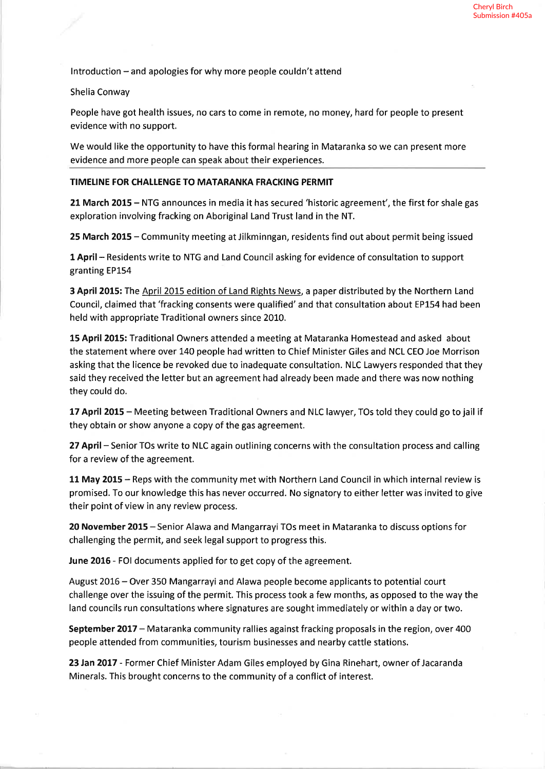$Introduction - and a poles$  for why more people couldn't attend

Shelia Conway

People have got health issues, no cars to come in remote, no money, hard for people to present evidence with no support.

We would like the opportunity to have this formal hearing in Mataranka so we can present more evidence and more people can speak about their experiences.

## TIMELINE FOR CHALLENGE TO MATARANKA FRACKING PERMIT

<sup>21</sup>March 2015 - NTG announces in media it has secured 'historic agreement', the first for shale gas exploration involving fracking on Aboriginal Land Trust land in the NT.

25 March 2015 - Community meeting at Jilkminngan, residents find out about permit being issued

1 April - Residents write to NTG and Land Council asking for evidence of consultation to support granting EP154

3 April 2015: The April 2015 edition of Land Rights News, a paper distributed by the Northern Land Council, claimed that 'fracking consents were qualified' and that consultation about EP154 had been held with appropriate Traditional owners since 2010.

15 April 2015: Traditional Owners attended a meeting at Mataranka Homestead and asked about the statement where over 140 people had written to Chief Minister Giles and NCL CEO Joe Morrison asking that the licence be revoked due to inadequate consultation. NLC Lawyers responded that they said they received the letter but an agreement had already been made and there was now nothing they could do.

17 April 2015 - Meeting between Traditional Owners and NLC lawyer, TOs told they could go to jail if they obtain or show anyone a copy of the gas agreement.

27 April - Senior TOs write to NLC again outlining concerns with the consultation process and calling for a review of the agreement.

<sup>11</sup>May 2015 - Reps with the community met with Northern Land Council in which internal review is promised. To our knowledge this has never occurred. No signatory to either letter was invited to give their point of view in any review process.

20 November 2015 - Senior Alawa and Mangarrayi TOs meet in Mataranka to discuss options for challenging the permit, and seek legal support to progress this.

June 2016 - FOI documents applied for to get copy of the agreement.

August 2016 - Over 350 Mangarrayi and Alawa people become applicants to potential court challenge over the issuing of the permit. This process took a few months, as opposed to the way the land councils run consultations where signatures are sought immediately or within a day or two.

September 2017 - Mataranka community rallies against fracking proposals in the region, over 400 people attended from communities, tourism businesses and nearby cattle stations.

23 Jan 2017 - Former Chief Minister Adam Giles employed by Gina Rinehart, owner of Jacaranda Minerals. This brought concerns to the community of a conflict of interest.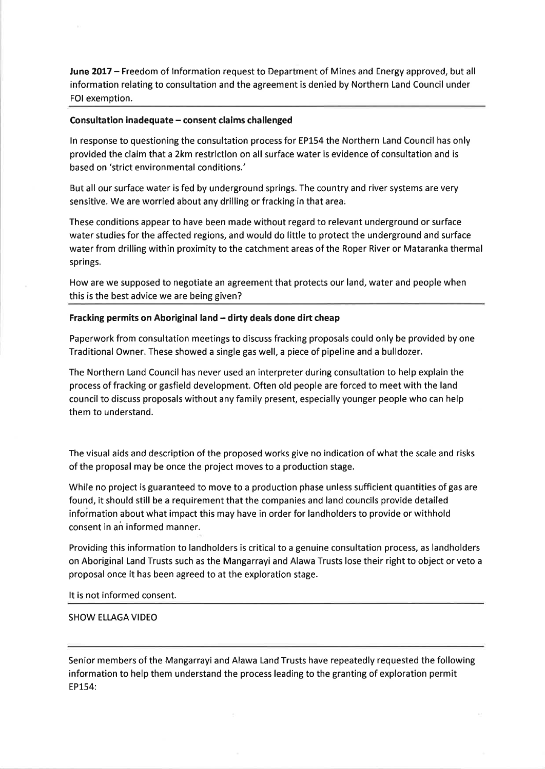June 2017 - Freedom of Information request to Department of Mines and Energy approved, but all information relating to consultation and the agreement is denied by Northern Land Council under FOI exemption.

## Consultation inadequate - consent claims challenged

ln response to questioning the consultation process for EP154 the Northern Land Council has only provided the claim that a 2km restriction on all surface water is evidence of consultation and is based on 'strict environmental conditions.'

But all our surface water is fed by underground springs. The country and river systems are very sensitive. We are worried about any drilling or fracking in that area.

These conditions appear to have been made without regard to relevant underground or surface water studies for the affected regions, and would do little to protect the underground and surface water from drilling within proximity to the catchment areas of the Roper River or Mataranka thermal springs.

How are we supposed to negotiate an agreement that protects our land, water and people when this is the best advice we are being given?

## Fracking permits on Aboriginal land - dirty deals done dirt cheap

Paperwork from consultation meetings to discuss fracking proposals could only be provided by one Traditional Owner. These showed a single gas well, a piece of pipeline and a bulldozer.

The Northern Land Council has never used an interpreter during consultation to help explain the process of fracking or gasfield development. Often old people are forced to meet with the land council to discuss proposals without any family present, especially younger people who can help them to understand.

The visual aids and description of the proposed works give no indication of what the scale and risks of the proposal may be once the project moves to a production stage.

While no project is guaranteed to move to a production phase unless sufficient quantities of gas are found, it should still be a requirement that the companies and land councils provide detailed information about what impact this may have in order for landholders to provide or withhold consent in an informed manner.

Providing this information to landholders is critical to a genuine consultation process, as landholders on Aboriginal Land Trusts such as the Mangarrayi and Alawa Trusts lose their right to object or veto <sup>a</sup> proposal once it has been agreed to at the exploration stage.

It is not informed consent.

#### SHOW ELLAGA VIDEO

Senior members of the Mangarrayi and Alawa Land Trusts have repeatedly requested the following information to help them understand the process leading to the granting of exploration permit EP154: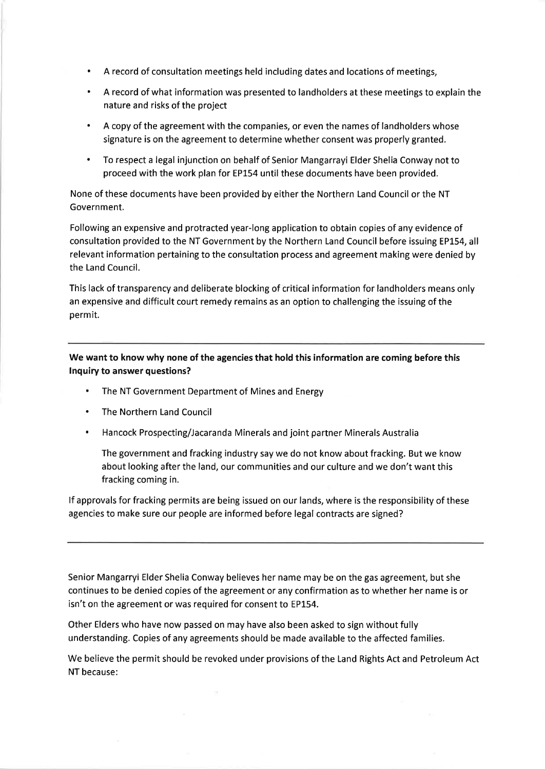- . A record of consultation meetings held including dates and locations of meetings,
- . A record of what information was presented to landholders at these meetings to explain the nature and risks of the project
- . A copy of the agreement with the companies, or even the names of landholders whose signature is on the agreement to determine whether consent was properly granted.
- . To respect a legal injunction on behalf of Senior Mangarrayi Elder Shelia Conway not to proceed with the work plan for EP154 until these documents have been provided.

None of these documents have been provided by either the Northern Land Council or the NT Government.

Following an expensive and protracted year-long application to obtain copies of any evidence of consultation provided to the NT Government by the Northern Land Council before issuing EP154, all relevant information pertaining to the consultation process and agreement making were denied by the Land Council.

This lack of transparency and deliberate blocking of critical information for landholders means only an expensive and difficult court remedy remains as an option to challenging the issuing of the permit.

We want to know why none of the agencies that hold this information are coming before this lnquiry to answer questions?

- . The NT Government Department of Mines and Energy
- . The Northern Land Council
- Hancock Prospecting/Jacaranda Minerals and joint partner Minerals Australia

The government and fracking industry say we do not know about fracking. But we know about looking after the land, our communities and our culture and we don't want this fracking coming in.

lf approvals for fracking permits are being issued on our lands, where is the responsibility of these agencies to make sure our people are informed before legal contracts are signed?

Senior Mangarryi Elder Shelia Conway believes her name may be on the gas agreement, but she continues to be denied copies of the agreement or any confirmation as to whether her name is or isn't on the agreement or was required for consent to EP154.

Other Elders who have now passed on may have also been asked to sign without fully understanding. Copies of any agreements should be made available to the affected families.

**CHE** 

We believe the permit should be revoked under provisions of the Land Rights Act and Petroleum Act NT because: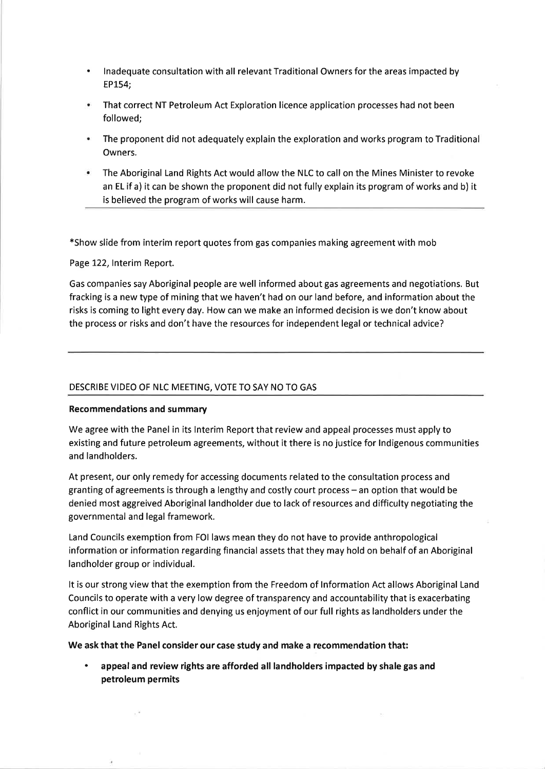- lnadequate consultation with all relevant Traditional Owners for the areas impacted by EPL54; a
- That correct NT Petroleum Act Exploration licence application processes had not been followed;
- The proponent did not adequately explain the exploration and works program to Traditional Owners.
- The Aboriginal Land Rights Act would allow the NLC to call on the Mines Minister to revoke an EL if a) it can be shown the proponent did not fully explain its program of works and b) it is believed the program of works will cause harm.

\*Show slide from interim report quotes from gas companies making agreement with mob

Page 122, Interim Report.

Gas companies say Aboriginal people are well informed about gas agreements and negotiations. But fracking is a new type of mining that we haven't had on our land before, and information about the risks is coming to light every day. How can we make an informed decision is we don't know about the process or risks and don't have the resources for independent legal or technical advice?

# DESCRIBE VIDEO OF NLC MEETING, VOTE TO SAY NO TO GAS

# Recommendations and summary

Y,

We agree with the Panel in its lnterim Report that review and appeal processes must apply to existing and future petroleum agreements, without it there is no justice for lndigenous communities and landholders.

At present, our only remedy for accessing documents related to the consultation process and granting of agreements is through a lengthy and costly court process - an option that would be denied most aggreived Aboriginal landholder due to lack of resources and difficulty negotiating the governmental and legal framework.

Land Councils exemption from FOI laws mean they do not have to provide anthropological information or information regarding financial assets that they may hold on behalf of an Aboriginal landholder group or individual.

It is our strong view that the exemption from the Freedom of lnformation Act allows Aboriginal Land Councils to operate with a very low degree of transparency and accountability that is exacerbating conflict in our communities and denying us enjoyment of our full rights as landholders under the Aboriginal Land Rights Act.

We ask that the Panel consider our case study and make a recommendation that:

appeal and review rights are afforded all landholders impacted by shale gas and petroleum permits a